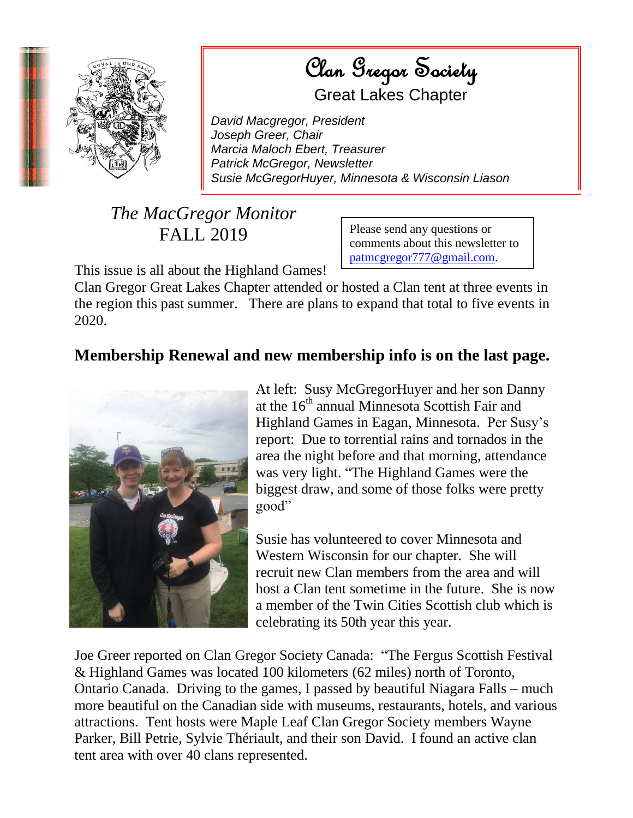

 $\left( \frac{q}{q} \right)$   $\left( \frac{q}{q} \right)$   $\left( \frac{q}{q} \right)$   $\left( \frac{q}{q} \right)$   $\left( \frac{q}{q} \right)$   $\left( \frac{q}{q} \right)$ Station Clan Gregor Society

Great Lakes Chapter

*David Macgregor, President Joseph Greer, Chair Marcia Maloch Ebert, Treasurer Patrick McGregor, Newsletter Susie McGregorHuyer, Minnesota & Wisconsin Liason*

## *The MacGregor Monitor* FALL 2019

Please send any questions or comments about this newsletter to [patmcgregor777@gmail.com.](mailto:patmcgregor777@gmail.com)

This issue is all about the Highland Games!

Clan Gregor Great Lakes Chapter attended or hosted a Clan tent at three events in the region this past summer. There are plans to expand that total to five events in 2020.

## **Membership Renewal and new membership info is on the last page.**



At left: Susy McGregorHuyer and her son Danny at the  $16<sup>th</sup>$  annual Minnesota Scottish Fair and Highland Games in Eagan, Minnesota. Per Susy's report: Due to torrential rains and tornados in the area the night before and that morning, attendance was very light. "The Highland Games were the biggest draw, and some of those folks were pretty good"

Susie has volunteered to cover Minnesota and Western Wisconsin for our chapter. She will recruit new Clan members from the area and will host a Clan tent sometime in the future. She is now a member of the Twin Cities Scottish club which is celebrating its 50th year this year.

Joe Greer reported on Clan Gregor Society Canada: "The Fergus Scottish Festival & Highland Games was located 100 kilometers (62 miles) north of Toronto, Ontario Canada. Driving to the games, I passed by beautiful Niagara Falls – much more beautiful on the Canadian side with museums, restaurants, hotels, and various attractions. Tent hosts were Maple Leaf Clan Gregor Society members Wayne Parker, Bill Petrie, Sylvie Thériault, and their son David. I found an active clan tent area with over 40 clans represented.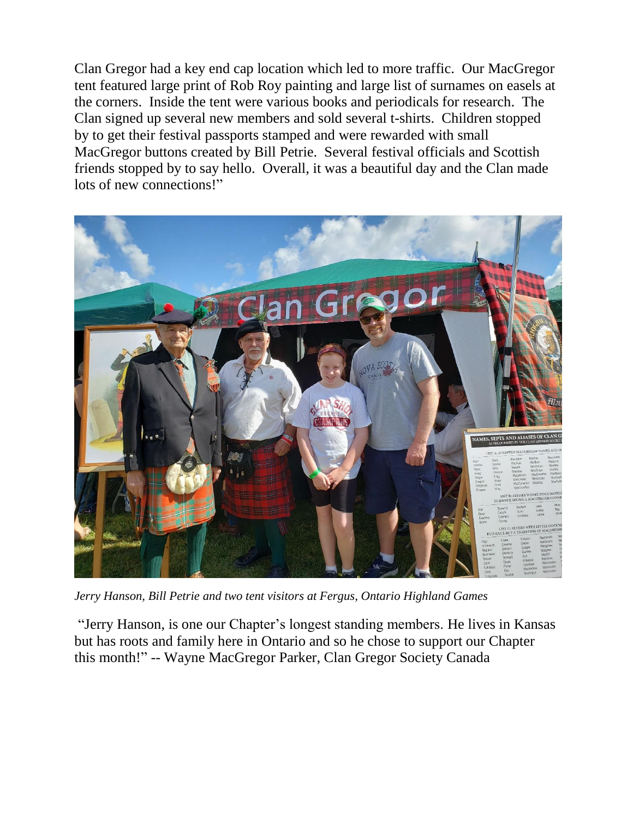Clan Gregor had a key end cap location which led to more traffic. Our MacGregor tent featured large print of Rob Roy painting and large list of surnames on easels at the corners. Inside the tent were various books and periodicals for research. The Clan signed up several new members and sold several t-shirts. Children stopped by to get their festival passports stamped and were rewarded with small MacGregor buttons created by Bill Petrie. Several festival officials and Scottish friends stopped by to say hello. Overall, it was a beautiful day and the Clan made lots of new connections!"



*Jerry Hanson, Bill Petrie and two tent visitors at Fergus, Ontario Highland Games*

"Jerry Hanson, is one our Chapter's longest standing members. He lives in Kansas but has roots and family here in Ontario and so he chose to support our Chapter this month!" -- Wayne MacGregor Parker, Clan Gregor Society Canada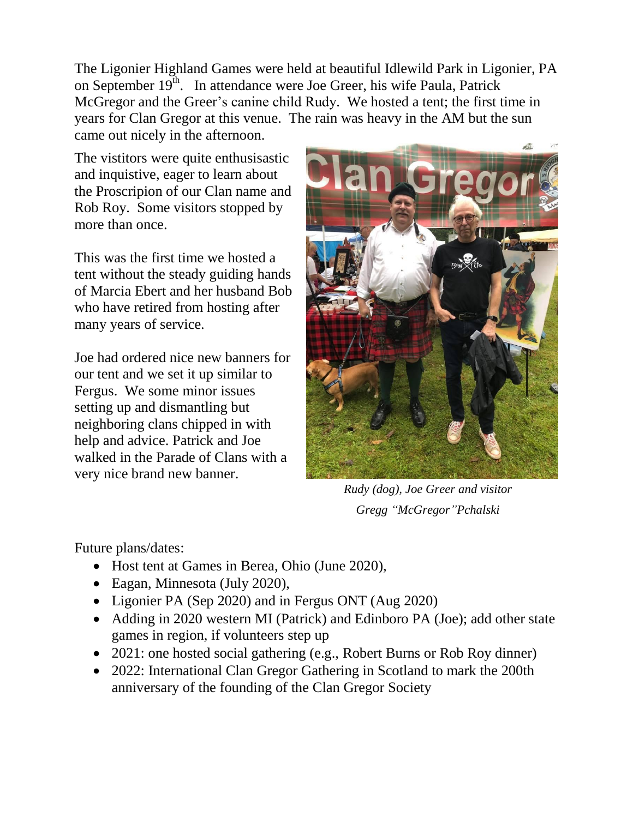The Ligonier Highland Games were held at beautiful Idlewild Park in Ligonier, PA on September  $19<sup>th</sup>$ . In attendance were Joe Greer, his wife Paula, Patrick McGregor and the Greer's canine child Rudy. We hosted a tent; the first time in years for Clan Gregor at this venue. The rain was heavy in the AM but the sun came out nicely in the afternoon.

The vistitors were quite enthusisastic and inquistive, eager to learn about the Proscripion of our Clan name and Rob Roy. Some visitors stopped by more than once.

This was the first time we hosted a tent without the steady guiding hands of Marcia Ebert and her husband Bob who have retired from hosting after many years of service.

Joe had ordered nice new banners for our tent and we set it up similar to Fergus. We some minor issues setting up and dismantling but neighboring clans chipped in with help and advice. Patrick and Joe walked in the Parade of Clans with a very nice brand new banner.



*Rudy (dog), Joe Greer and visitor Gregg "McGregor"Pchalski*

Future plans/dates:

- Host tent at Games in Berea, Ohio (June 2020),
- Eagan, Minnesota (July 2020),
- Ligonier PA (Sep 2020) and in Fergus ONT (Aug 2020)
- Adding in 2020 western MI (Patrick) and Edinboro PA (Joe); add other state games in region, if volunteers step up
- 2021: one hosted social gathering (e.g., Robert Burns or Rob Roy dinner)
- 2022: International Clan Gregor Gathering in Scotland to mark the 200th anniversary of the founding of the Clan Gregor Society